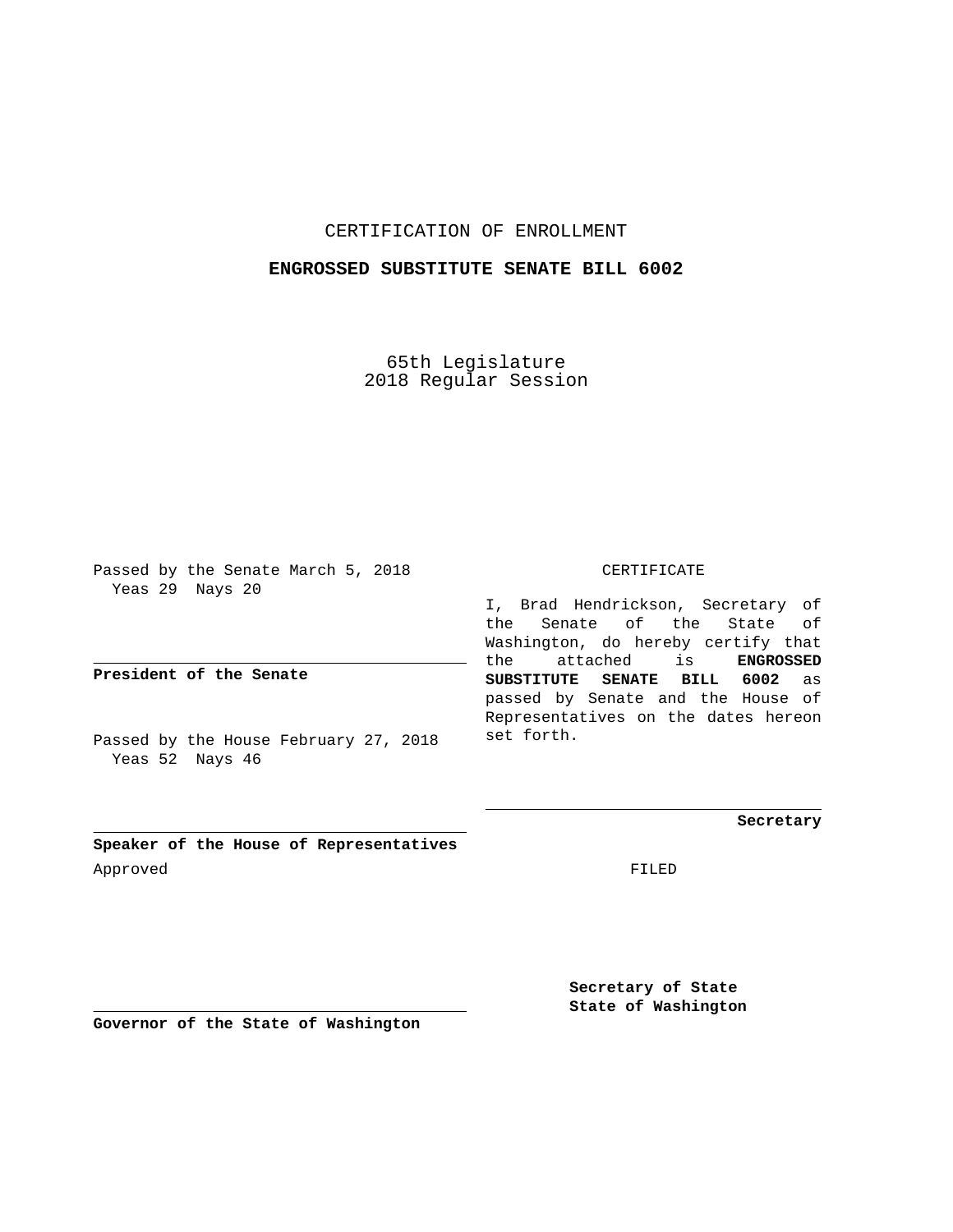## CERTIFICATION OF ENROLLMENT

## **ENGROSSED SUBSTITUTE SENATE BILL 6002**

65th Legislature 2018 Regular Session

Passed by the Senate March 5, 2018 Yeas 29 Nays 20

**President of the Senate**

Passed by the House February 27, 2018 Yeas 52 Nays 46

CERTIFICATE

I, Brad Hendrickson, Secretary of the Senate of the State of Washington, do hereby certify that the attached is **ENGROSSED SUBSTITUTE SENATE BILL 6002** as passed by Senate and the House of Representatives on the dates hereon set forth.

**Secretary**

**Speaker of the House of Representatives** Approved FILED

**Secretary of State State of Washington**

**Governor of the State of Washington**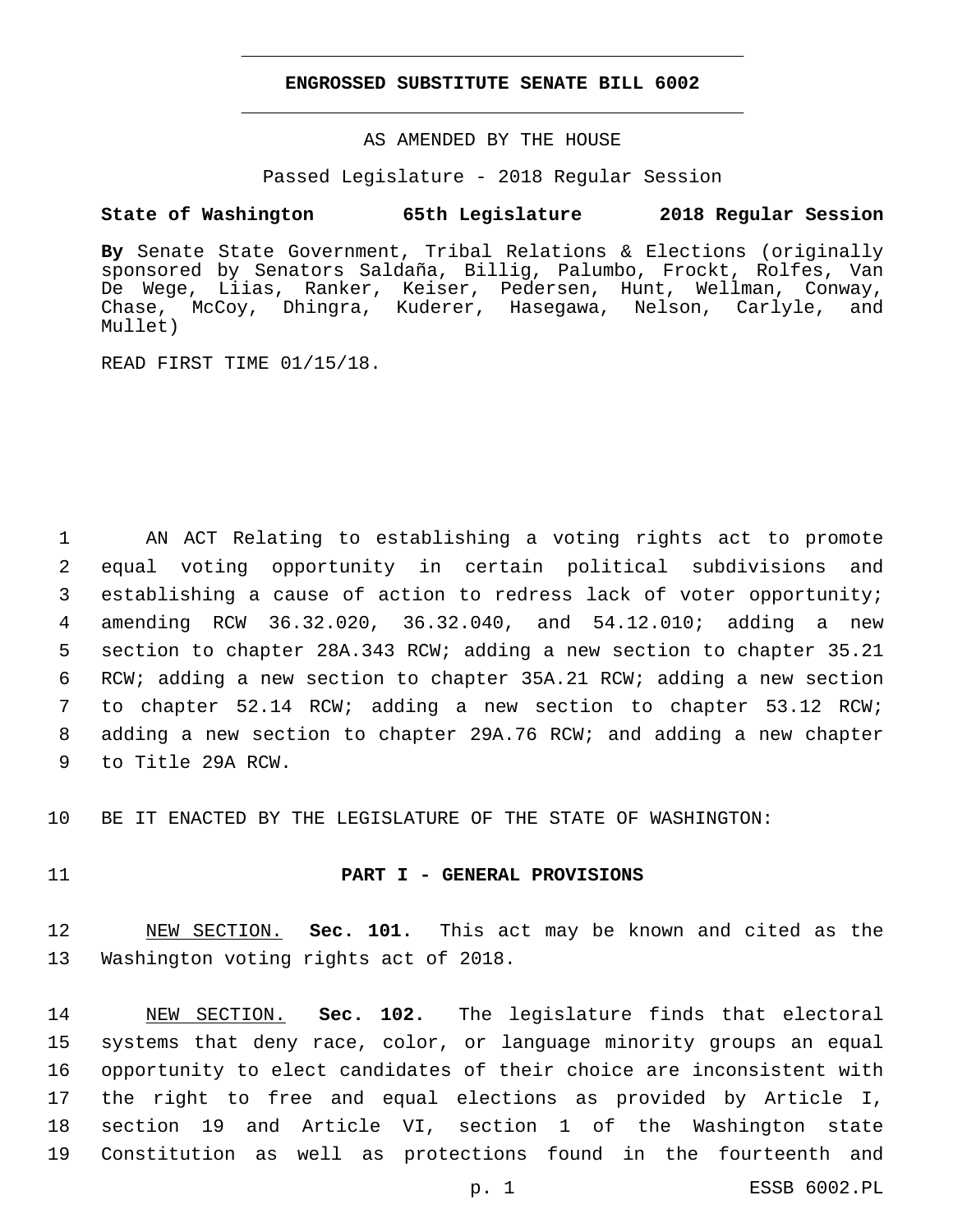#### **ENGROSSED SUBSTITUTE SENATE BILL 6002**

AS AMENDED BY THE HOUSE

Passed Legislature - 2018 Regular Session

## **State of Washington 65th Legislature 2018 Regular Session**

**By** Senate State Government, Tribal Relations & Elections (originally sponsored by Senators Saldaña, Billig, Palumbo, Frockt, Rolfes, Van De Wege, Liias, Ranker, Keiser, Pedersen, Hunt, Wellman, Conway, Chase, McCoy, Dhingra, Kuderer, Hasegawa, Nelson, Carlyle, and Mullet)

READ FIRST TIME 01/15/18.

 AN ACT Relating to establishing a voting rights act to promote equal voting opportunity in certain political subdivisions and establishing a cause of action to redress lack of voter opportunity; amending RCW 36.32.020, 36.32.040, and 54.12.010; adding a new section to chapter 28A.343 RCW; adding a new section to chapter 35.21 RCW; adding a new section to chapter 35A.21 RCW; adding a new section to chapter 52.14 RCW; adding a new section to chapter 53.12 RCW; adding a new section to chapter 29A.76 RCW; and adding a new chapter 9 to Title 29A RCW.

10 BE IT ENACTED BY THE LEGISLATURE OF THE STATE OF WASHINGTON:

#### 11 **PART I - GENERAL PROVISIONS**

12 NEW SECTION. **Sec. 101.** This act may be known and cited as the 13 Washington voting rights act of 2018.

 NEW SECTION. **Sec. 102.** The legislature finds that electoral systems that deny race, color, or language minority groups an equal opportunity to elect candidates of their choice are inconsistent with the right to free and equal elections as provided by Article I, section 19 and Article VI, section 1 of the Washington state Constitution as well as protections found in the fourteenth and

p. 1 ESSB 6002.PL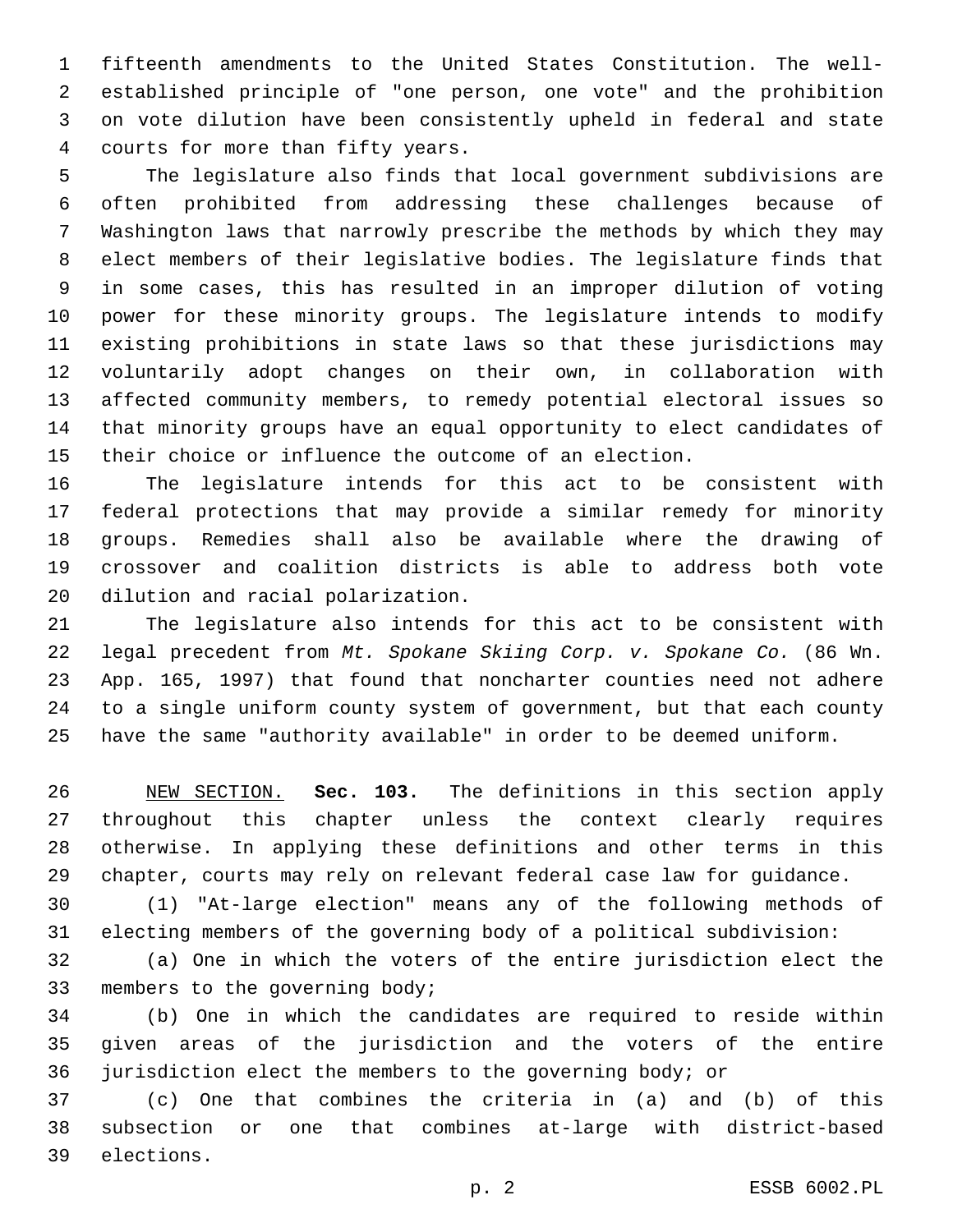fifteenth amendments to the United States Constitution. The well- established principle of "one person, one vote" and the prohibition on vote dilution have been consistently upheld in federal and state courts for more than fifty years.4

 The legislature also finds that local government subdivisions are often prohibited from addressing these challenges because of Washington laws that narrowly prescribe the methods by which they may elect members of their legislative bodies. The legislature finds that in some cases, this has resulted in an improper dilution of voting power for these minority groups. The legislature intends to modify existing prohibitions in state laws so that these jurisdictions may voluntarily adopt changes on their own, in collaboration with affected community members, to remedy potential electoral issues so that minority groups have an equal opportunity to elect candidates of their choice or influence the outcome of an election.

 The legislature intends for this act to be consistent with federal protections that may provide a similar remedy for minority groups. Remedies shall also be available where the drawing of crossover and coalition districts is able to address both vote 20 dilution and racial polarization.

 The legislature also intends for this act to be consistent with legal precedent from *Mt. Spokane Skiing Corp. v. Spokane Co.* (86 Wn. App. 165, 1997) that found that noncharter counties need not adhere to a single uniform county system of government, but that each county have the same "authority available" in order to be deemed uniform.

 NEW SECTION. **Sec. 103.** The definitions in this section apply throughout this chapter unless the context clearly requires otherwise. In applying these definitions and other terms in this chapter, courts may rely on relevant federal case law for guidance.

 (1) "At-large election" means any of the following methods of electing members of the governing body of a political subdivision:

 (a) One in which the voters of the entire jurisdiction elect the 33 members to the governing body;

 (b) One in which the candidates are required to reside within given areas of the jurisdiction and the voters of the entire jurisdiction elect the members to the governing body; or

 (c) One that combines the criteria in (a) and (b) of this subsection or one that combines at-large with district-based 39 elections.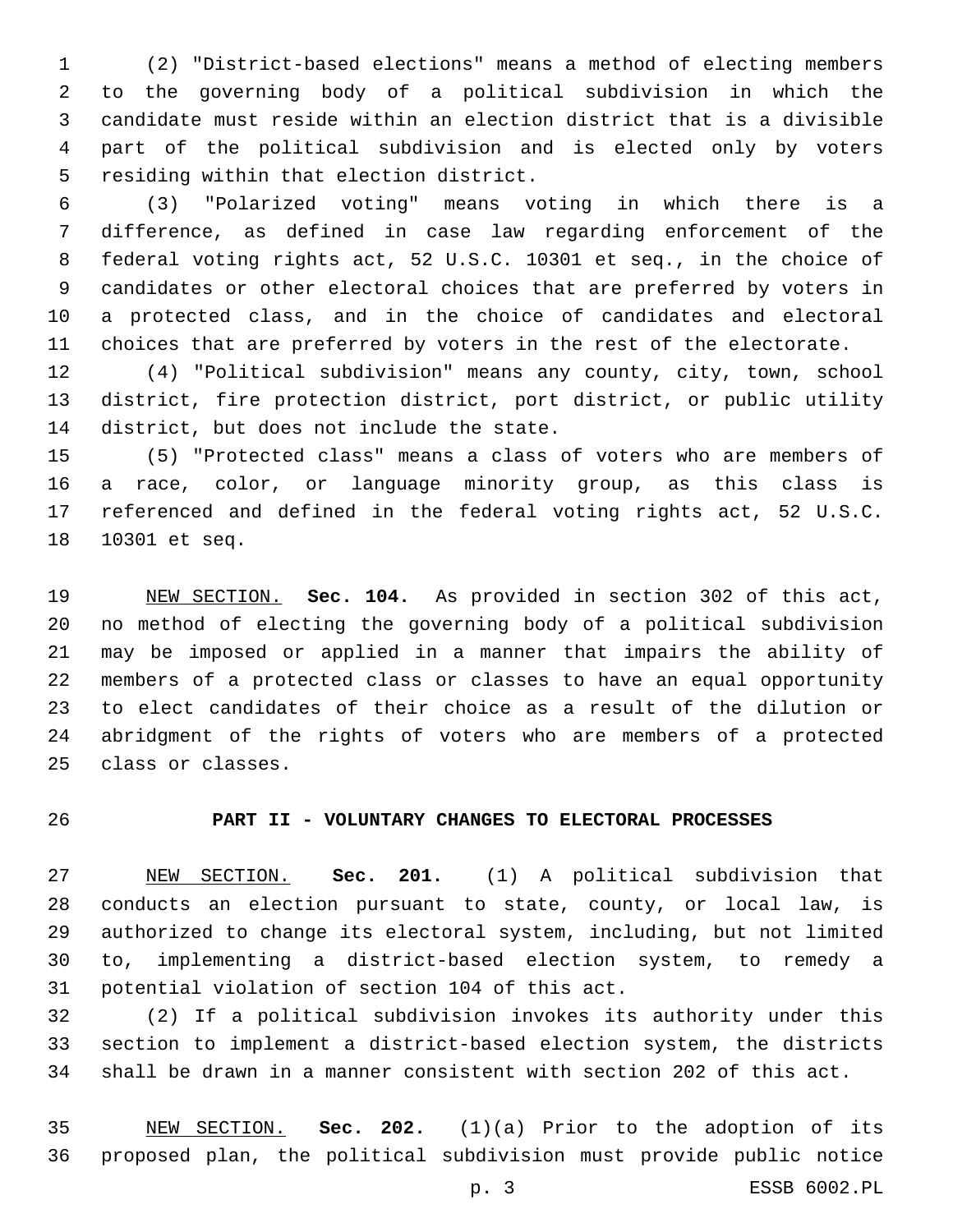(2) "District-based elections" means a method of electing members to the governing body of a political subdivision in which the candidate must reside within an election district that is a divisible part of the political subdivision and is elected only by voters 5 residing within that election district.

 (3) "Polarized voting" means voting in which there is a difference, as defined in case law regarding enforcement of the federal voting rights act, 52 U.S.C. 10301 et seq., in the choice of candidates or other electoral choices that are preferred by voters in a protected class, and in the choice of candidates and electoral choices that are preferred by voters in the rest of the electorate.

 (4) "Political subdivision" means any county, city, town, school district, fire protection district, port district, or public utility 14 district, but does not include the state.

 (5) "Protected class" means a class of voters who are members of a race, color, or language minority group, as this class is referenced and defined in the federal voting rights act, 52 U.S.C. 18 10301 et seq.

 NEW SECTION. **Sec. 104.** As provided in section 302 of this act, no method of electing the governing body of a political subdivision may be imposed or applied in a manner that impairs the ability of members of a protected class or classes to have an equal opportunity to elect candidates of their choice as a result of the dilution or abridgment of the rights of voters who are members of a protected class or classes.

# **PART II - VOLUNTARY CHANGES TO ELECTORAL PROCESSES**

 NEW SECTION. **Sec. 201.** (1) A political subdivision that conducts an election pursuant to state, county, or local law, is authorized to change its electoral system, including, but not limited to, implementing a district-based election system, to remedy a potential violation of section 104 of this act.

 (2) If a political subdivision invokes its authority under this section to implement a district-based election system, the districts shall be drawn in a manner consistent with section 202 of this act.

 NEW SECTION. **Sec. 202.** (1)(a) Prior to the adoption of its proposed plan, the political subdivision must provide public notice

p. 3 ESSB 6002.PL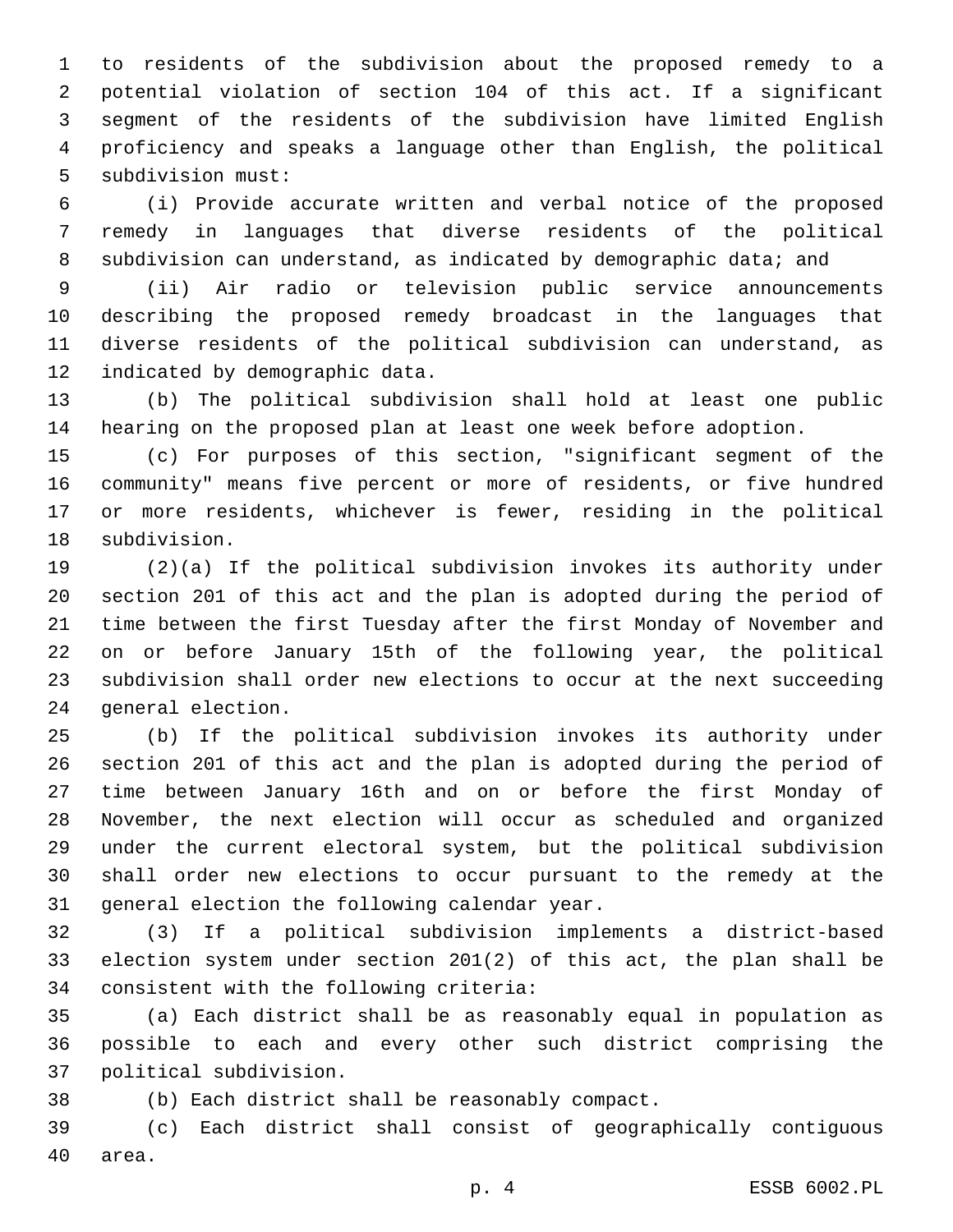to residents of the subdivision about the proposed remedy to a potential violation of section 104 of this act. If a significant segment of the residents of the subdivision have limited English proficiency and speaks a language other than English, the political 5 subdivision must:

 (i) Provide accurate written and verbal notice of the proposed remedy in languages that diverse residents of the political 8 subdivision can understand, as indicated by demographic data; and

 (ii) Air radio or television public service announcements describing the proposed remedy broadcast in the languages that diverse residents of the political subdivision can understand, as 12 indicated by demographic data.

 (b) The political subdivision shall hold at least one public hearing on the proposed plan at least one week before adoption.

 (c) For purposes of this section, "significant segment of the community" means five percent or more of residents, or five hundred or more residents, whichever is fewer, residing in the political 18 subdivision.

 (2)(a) If the political subdivision invokes its authority under section 201 of this act and the plan is adopted during the period of time between the first Tuesday after the first Monday of November and on or before January 15th of the following year, the political subdivision shall order new elections to occur at the next succeeding 24 general election.

 (b) If the political subdivision invokes its authority under section 201 of this act and the plan is adopted during the period of time between January 16th and on or before the first Monday of November, the next election will occur as scheduled and organized under the current electoral system, but the political subdivision shall order new elections to occur pursuant to the remedy at the 31 general election the following calendar year.

 (3) If a political subdivision implements a district-based election system under section 201(2) of this act, the plan shall be 34 consistent with the following criteria:

 (a) Each district shall be as reasonably equal in population as possible to each and every other such district comprising the political subdivision.37

(b) Each district shall be reasonably compact.

 (c) Each district shall consist of geographically contiguous 40 area.

p. 4 ESSB 6002.PL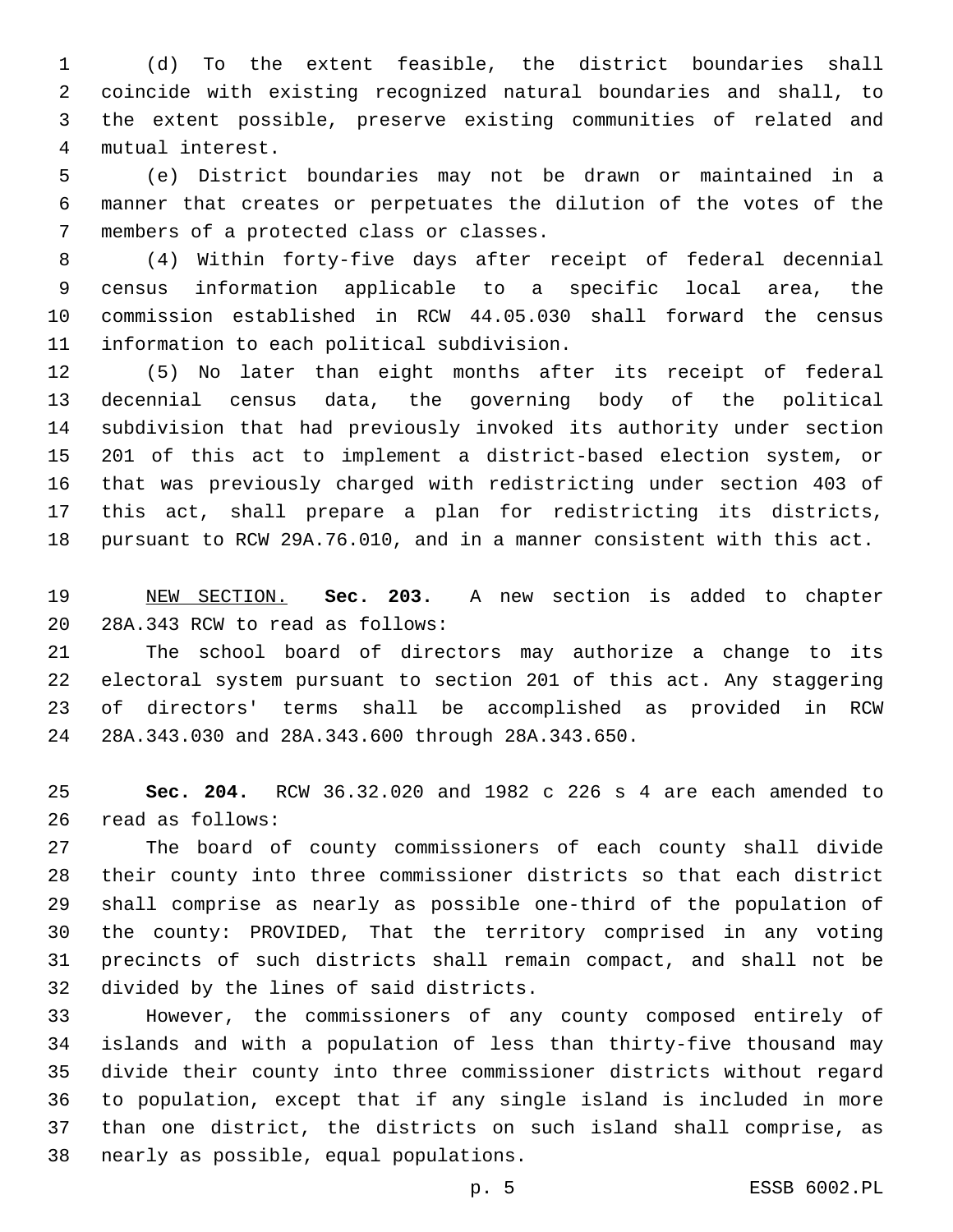(d) To the extent feasible, the district boundaries shall coincide with existing recognized natural boundaries and shall, to the extent possible, preserve existing communities of related and mutual interest.4

 (e) District boundaries may not be drawn or maintained in a manner that creates or perpetuates the dilution of the votes of the 7 members of a protected class or classes.

 (4) Within forty-five days after receipt of federal decennial census information applicable to a specific local area, the commission established in RCW 44.05.030 shall forward the census 11 information to each political subdivision.

 (5) No later than eight months after its receipt of federal decennial census data, the governing body of the political subdivision that had previously invoked its authority under section 201 of this act to implement a district-based election system, or that was previously charged with redistricting under section 403 of this act, shall prepare a plan for redistricting its districts, pursuant to RCW 29A.76.010, and in a manner consistent with this act.

 NEW SECTION. **Sec. 203.** A new section is added to chapter 20 28A.343 RCW to read as follows:

 The school board of directors may authorize a change to its electoral system pursuant to section 201 of this act. Any staggering of directors' terms shall be accomplished as provided in RCW 28A.343.030 and 28A.343.600 through 28A.343.650.24

 **Sec. 204.** RCW 36.32.020 and 1982 c 226 s 4 are each amended to 26 read as follows:

 The board of county commissioners of each county shall divide their county into three commissioner districts so that each district shall comprise as nearly as possible one-third of the population of the county: PROVIDED, That the territory comprised in any voting precincts of such districts shall remain compact, and shall not be 32 divided by the lines of said districts.

 However, the commissioners of any county composed entirely of islands and with a population of less than thirty-five thousand may divide their county into three commissioner districts without regard to population, except that if any single island is included in more than one district, the districts on such island shall comprise, as 38 nearly as possible, equal populations.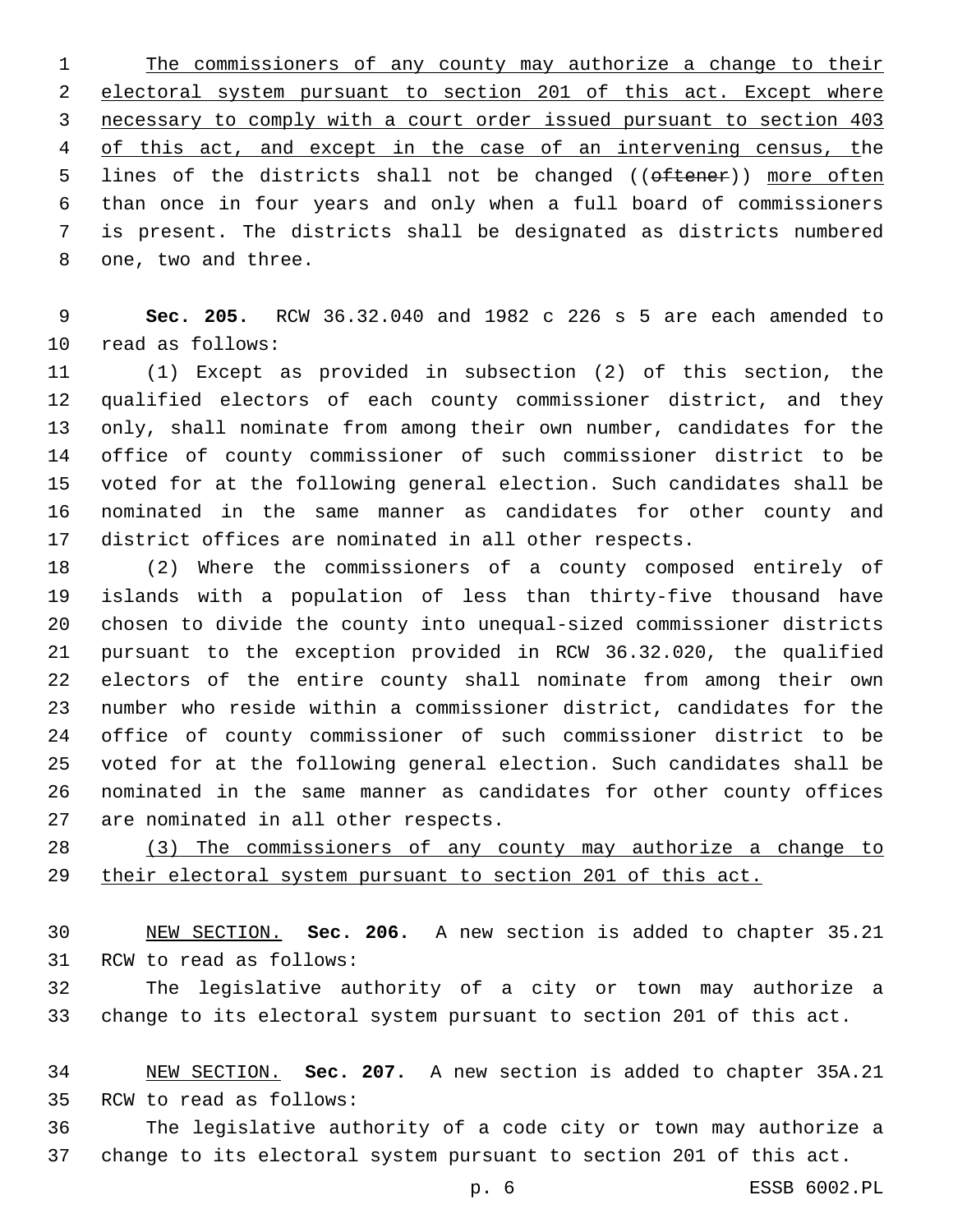The commissioners of any county may authorize a change to their electoral system pursuant to section 201 of this act. Except where necessary to comply with a court order issued pursuant to section 403 of this act, and except in the case of an intervening census, the 5 lines of the districts shall not be changed ((oftener)) more often than once in four years and only when a full board of commissioners is present. The districts shall be designated as districts numbered 8 one, two and three.

 **Sec. 205.** RCW 36.32.040 and 1982 c 226 s 5 are each amended to 10 read as follows:

 (1) Except as provided in subsection (2) of this section, the qualified electors of each county commissioner district, and they only, shall nominate from among their own number, candidates for the office of county commissioner of such commissioner district to be voted for at the following general election. Such candidates shall be nominated in the same manner as candidates for other county and district offices are nominated in all other respects.

 (2) Where the commissioners of a county composed entirely of islands with a population of less than thirty-five thousand have chosen to divide the county into unequal-sized commissioner districts pursuant to the exception provided in RCW 36.32.020, the qualified electors of the entire county shall nominate from among their own number who reside within a commissioner district, candidates for the office of county commissioner of such commissioner district to be voted for at the following general election. Such candidates shall be nominated in the same manner as candidates for other county offices 27 are nominated in all other respects.

 (3) The commissioners of any county may authorize a change to their electoral system pursuant to section 201 of this act.

 NEW SECTION. **Sec. 206.** A new section is added to chapter 35.21 31 RCW to read as follows:

 The legislative authority of a city or town may authorize a change to its electoral system pursuant to section 201 of this act.

 NEW SECTION. **Sec. 207.** A new section is added to chapter 35A.21 35 RCW to read as follows:

 The legislative authority of a code city or town may authorize a change to its electoral system pursuant to section 201 of this act.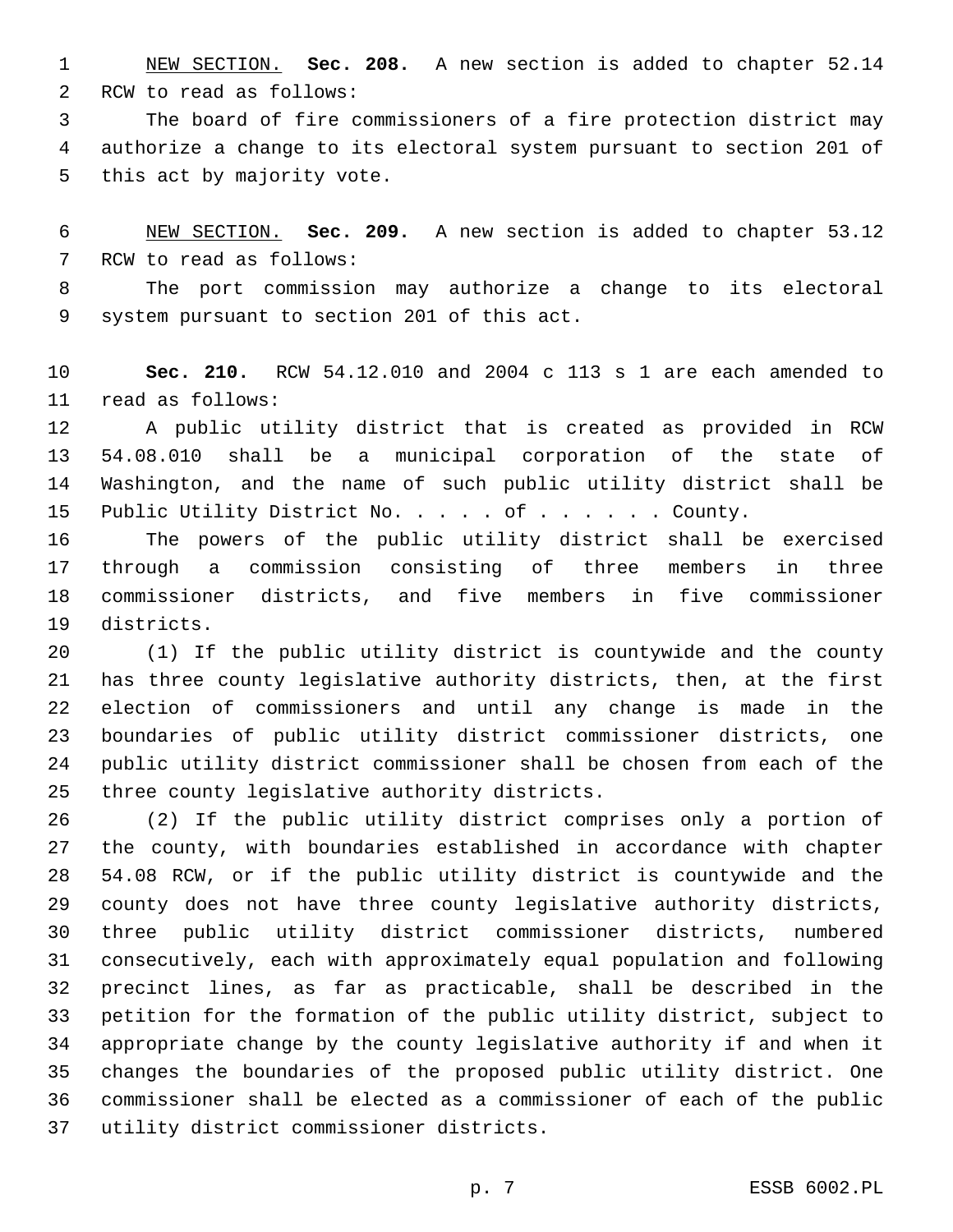NEW SECTION. **Sec. 208.** A new section is added to chapter 52.14 2 RCW to read as follows:

 The board of fire commissioners of a fire protection district may authorize a change to its electoral system pursuant to section 201 of 5 this act by majority vote.

 NEW SECTION. **Sec. 209.** A new section is added to chapter 53.12 7 RCW to read as follows:

 The port commission may authorize a change to its electoral 9 system pursuant to section 201 of this act.

 **Sec. 210.** RCW 54.12.010 and 2004 c 113 s 1 are each amended to 11 read as follows:

 A public utility district that is created as provided in RCW 54.08.010 shall be a municipal corporation of the state of Washington, and the name of such public utility district shall be 15 Public Utility District No. . . . of . . . . . . County.

 The powers of the public utility district shall be exercised through a commission consisting of three members in three commissioner districts, and five members in five commissioner 19 districts.

 (1) If the public utility district is countywide and the county has three county legislative authority districts, then, at the first election of commissioners and until any change is made in the boundaries of public utility district commissioner districts, one public utility district commissioner shall be chosen from each of the 25 three county legislative authority districts.

 (2) If the public utility district comprises only a portion of the county, with boundaries established in accordance with chapter 54.08 RCW, or if the public utility district is countywide and the county does not have three county legislative authority districts, three public utility district commissioner districts, numbered consecutively, each with approximately equal population and following precinct lines, as far as practicable, shall be described in the petition for the formation of the public utility district, subject to appropriate change by the county legislative authority if and when it changes the boundaries of the proposed public utility district. One commissioner shall be elected as a commissioner of each of the public 37 utility district commissioner districts.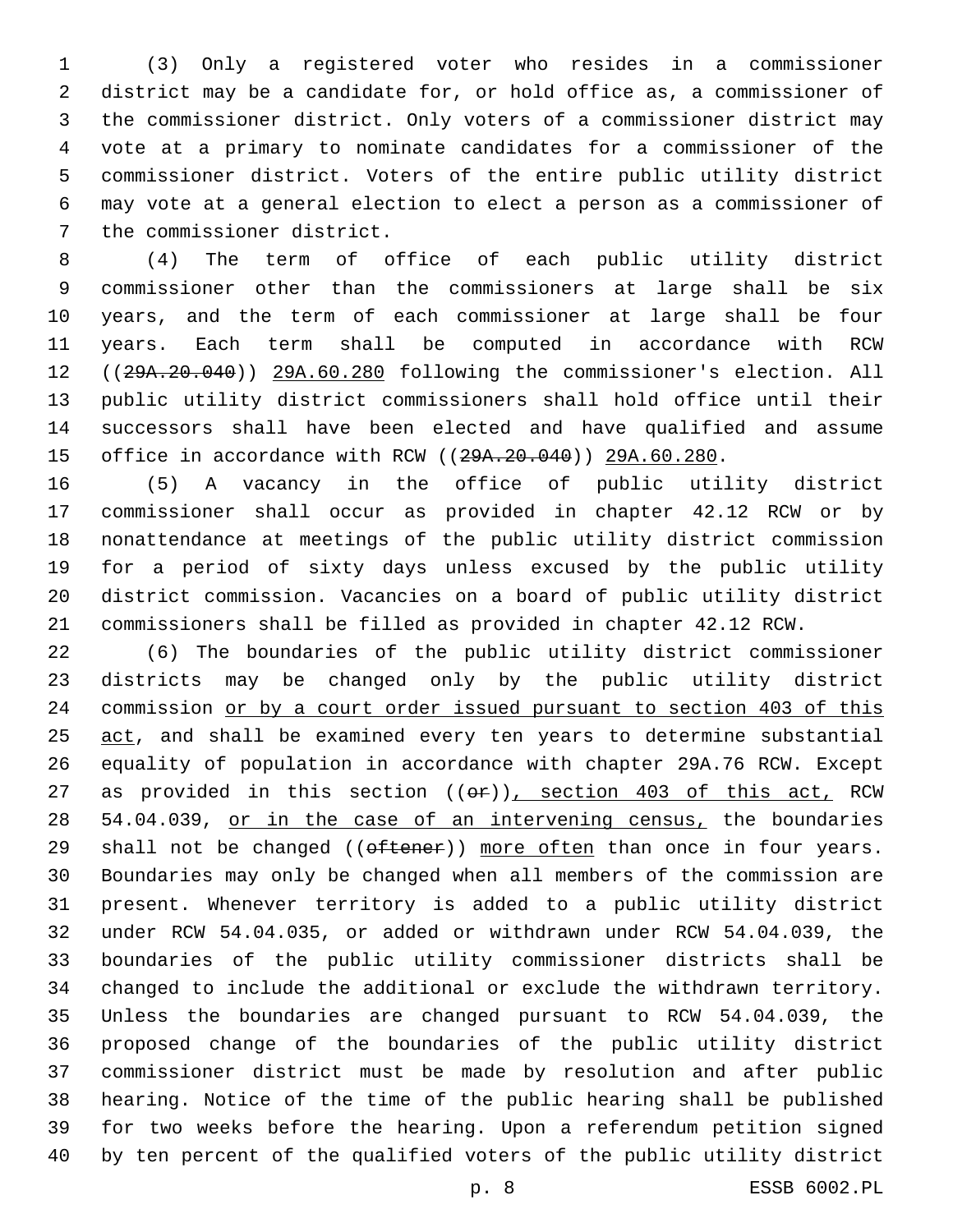(3) Only a registered voter who resides in a commissioner district may be a candidate for, or hold office as, a commissioner of the commissioner district. Only voters of a commissioner district may vote at a primary to nominate candidates for a commissioner of the commissioner district. Voters of the entire public utility district may vote at a general election to elect a person as a commissioner of 7 the commissioner district.

 (4) The term of office of each public utility district commissioner other than the commissioners at large shall be six years, and the term of each commissioner at large shall be four years. Each term shall be computed in accordance with RCW ((29A.20.040)) 29A.60.280 following the commissioner's election. All public utility district commissioners shall hold office until their successors shall have been elected and have qualified and assume 15 office in accordance with RCW ((29A.20.040)) 29A.60.280.

 (5) A vacancy in the office of public utility district commissioner shall occur as provided in chapter 42.12 RCW or by nonattendance at meetings of the public utility district commission for a period of sixty days unless excused by the public utility district commission. Vacancies on a board of public utility district commissioners shall be filled as provided in chapter 42.12 RCW.

 (6) The boundaries of the public utility district commissioner districts may be changed only by the public utility district commission or by a court order issued pursuant to section 403 of this 25 act, and shall be examined every ten years to determine substantial equality of population in accordance with chapter 29A.76 RCW. Except 27 as provided in this section  $((\theta \cdot \hat{r}))$ , section 403 of this act, RCW 28 54.04.039, or in the case of an intervening census, the boundaries 29 shall not be changed  $((\text{ofteen}))$  more often than once in four years. Boundaries may only be changed when all members of the commission are present. Whenever territory is added to a public utility district under RCW 54.04.035, or added or withdrawn under RCW 54.04.039, the boundaries of the public utility commissioner districts shall be changed to include the additional or exclude the withdrawn territory. Unless the boundaries are changed pursuant to RCW 54.04.039, the proposed change of the boundaries of the public utility district commissioner district must be made by resolution and after public hearing. Notice of the time of the public hearing shall be published for two weeks before the hearing. Upon a referendum petition signed by ten percent of the qualified voters of the public utility district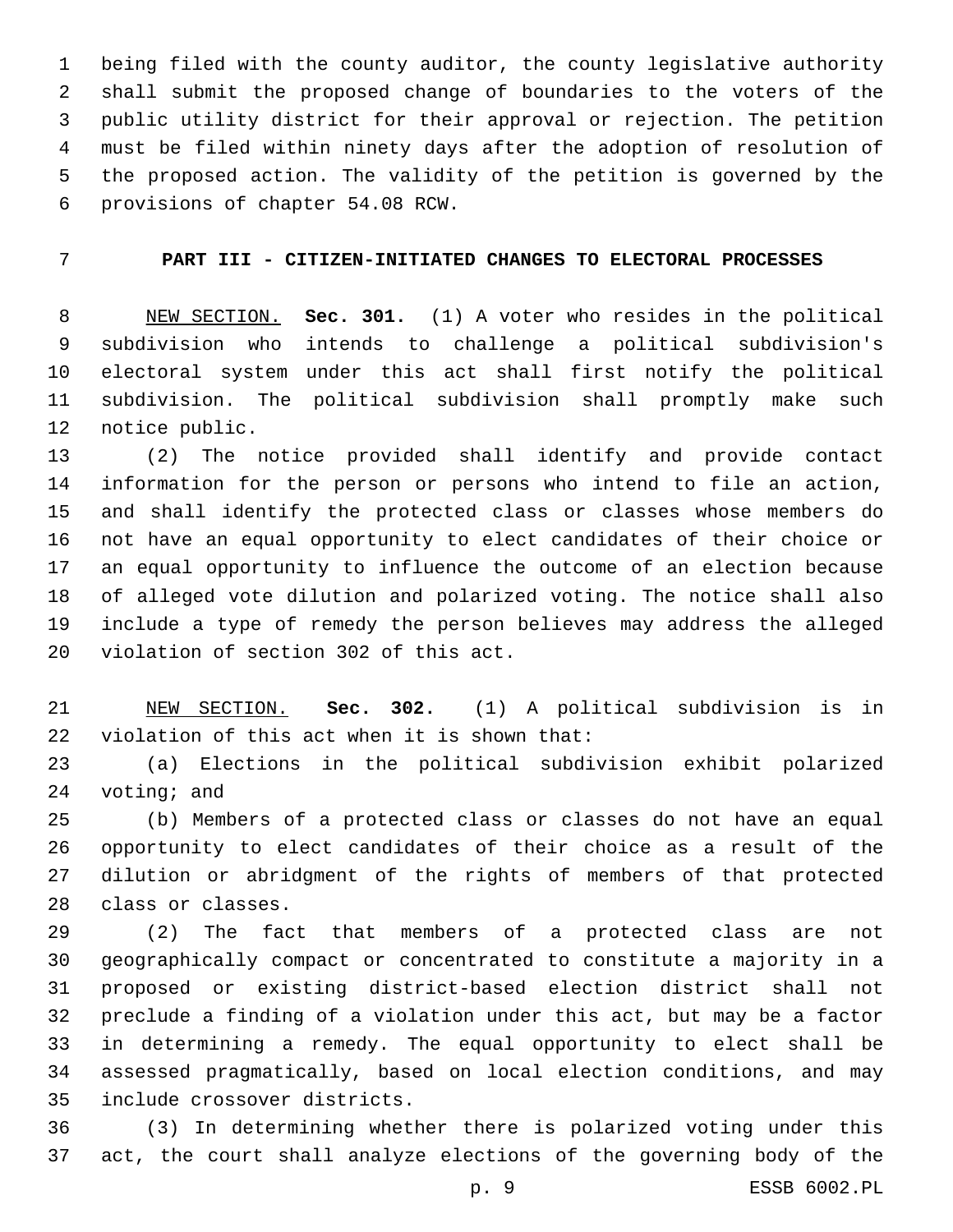being filed with the county auditor, the county legislative authority shall submit the proposed change of boundaries to the voters of the public utility district for their approval or rejection. The petition must be filed within ninety days after the adoption of resolution of the proposed action. The validity of the petition is governed by the 6 provisions of chapter 54.08 RCW.

# **PART III - CITIZEN-INITIATED CHANGES TO ELECTORAL PROCESSES**

 NEW SECTION. **Sec. 301.** (1) A voter who resides in the political subdivision who intends to challenge a political subdivision's electoral system under this act shall first notify the political subdivision. The political subdivision shall promptly make such notice public.

 (2) The notice provided shall identify and provide contact information for the person or persons who intend to file an action, and shall identify the protected class or classes whose members do not have an equal opportunity to elect candidates of their choice or an equal opportunity to influence the outcome of an election because of alleged vote dilution and polarized voting. The notice shall also include a type of remedy the person believes may address the alleged 20 violation of section 302 of this act.

 NEW SECTION. **Sec. 302.** (1) A political subdivision is in violation of this act when it is shown that:

 (a) Elections in the political subdivision exhibit polarized voting; and

 (b) Members of a protected class or classes do not have an equal opportunity to elect candidates of their choice as a result of the dilution or abridgment of the rights of members of that protected 28 class or classes.

 (2) The fact that members of a protected class are not geographically compact or concentrated to constitute a majority in a proposed or existing district-based election district shall not preclude a finding of a violation under this act, but may be a factor in determining a remedy. The equal opportunity to elect shall be assessed pragmatically, based on local election conditions, and may 35 include crossover districts.

 (3) In determining whether there is polarized voting under this act, the court shall analyze elections of the governing body of the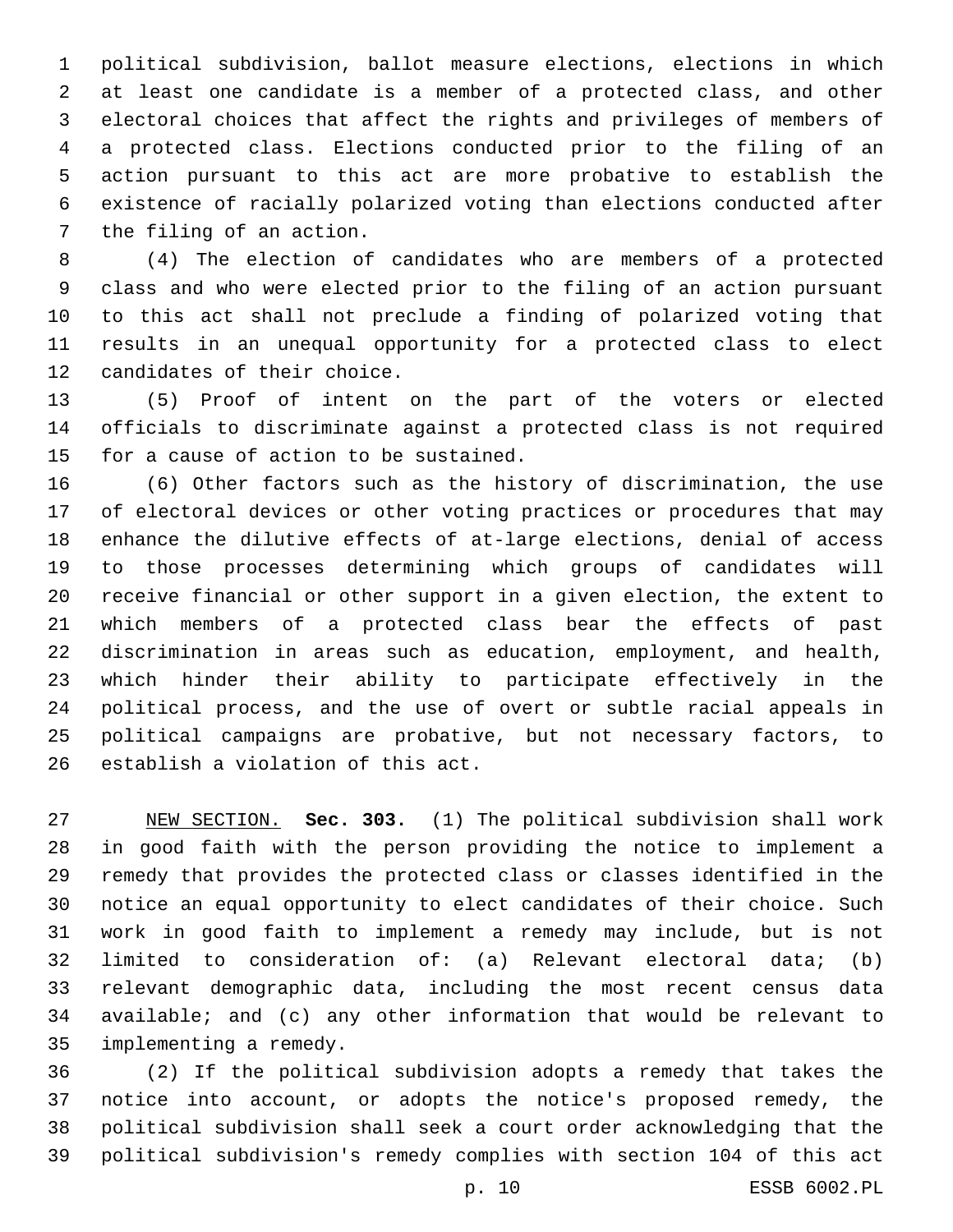political subdivision, ballot measure elections, elections in which at least one candidate is a member of a protected class, and other electoral choices that affect the rights and privileges of members of a protected class. Elections conducted prior to the filing of an action pursuant to this act are more probative to establish the existence of racially polarized voting than elections conducted after 7 the filing of an action.

 (4) The election of candidates who are members of a protected class and who were elected prior to the filing of an action pursuant to this act shall not preclude a finding of polarized voting that results in an unequal opportunity for a protected class to elect 12 candidates of their choice.

 (5) Proof of intent on the part of the voters or elected officials to discriminate against a protected class is not required 15 for a cause of action to be sustained.

 (6) Other factors such as the history of discrimination, the use of electoral devices or other voting practices or procedures that may enhance the dilutive effects of at-large elections, denial of access to those processes determining which groups of candidates will receive financial or other support in a given election, the extent to which members of a protected class bear the effects of past discrimination in areas such as education, employment, and health, which hinder their ability to participate effectively in the political process, and the use of overt or subtle racial appeals in political campaigns are probative, but not necessary factors, to 26 establish a violation of this act.

 NEW SECTION. **Sec. 303.** (1) The political subdivision shall work in good faith with the person providing the notice to implement a remedy that provides the protected class or classes identified in the notice an equal opportunity to elect candidates of their choice. Such work in good faith to implement a remedy may include, but is not limited to consideration of: (a) Relevant electoral data; (b) relevant demographic data, including the most recent census data available; and (c) any other information that would be relevant to implementing a remedy.

 (2) If the political subdivision adopts a remedy that takes the notice into account, or adopts the notice's proposed remedy, the political subdivision shall seek a court order acknowledging that the political subdivision's remedy complies with section 104 of this act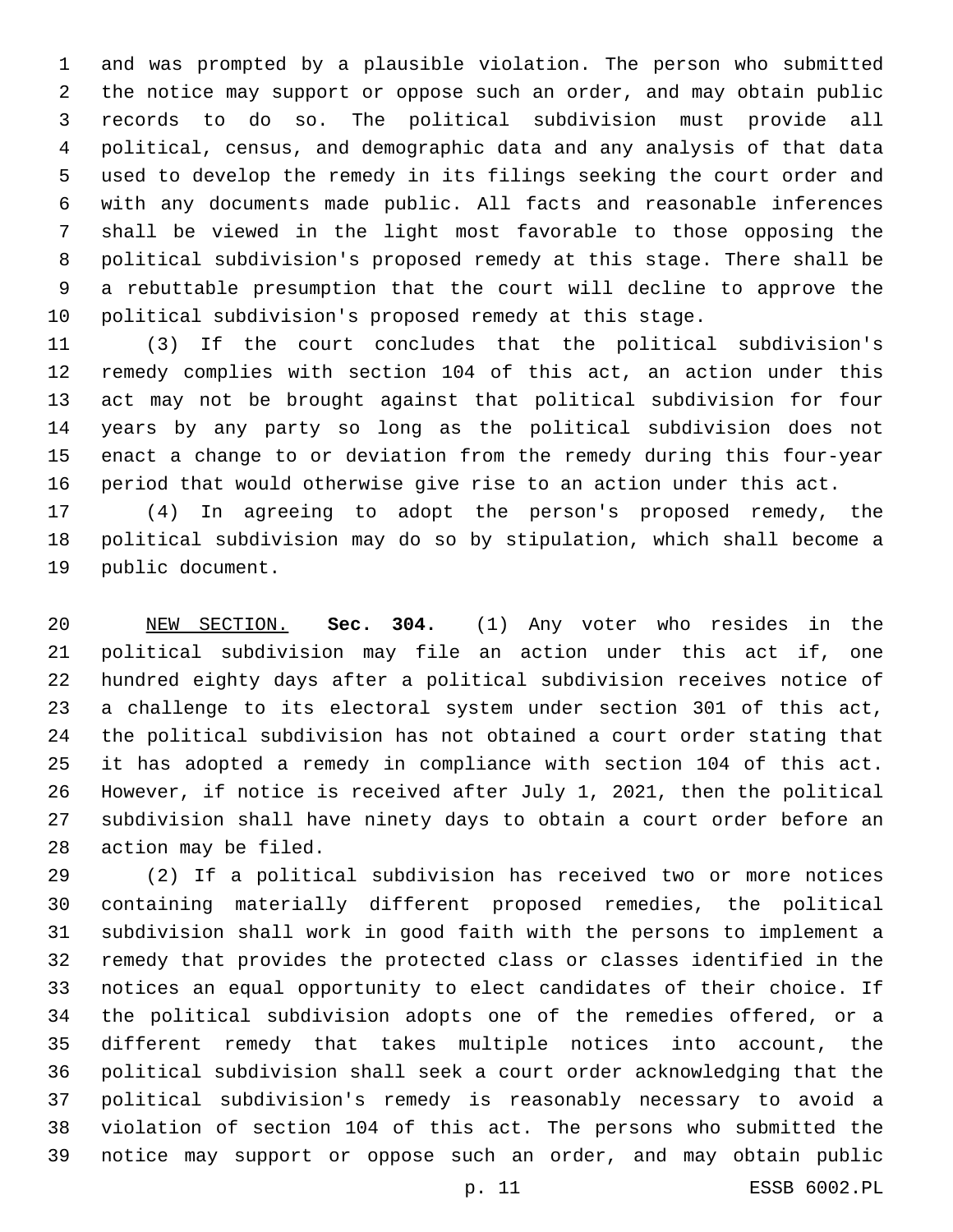and was prompted by a plausible violation. The person who submitted the notice may support or oppose such an order, and may obtain public records to do so. The political subdivision must provide all political, census, and demographic data and any analysis of that data used to develop the remedy in its filings seeking the court order and with any documents made public. All facts and reasonable inferences shall be viewed in the light most favorable to those opposing the political subdivision's proposed remedy at this stage. There shall be a rebuttable presumption that the court will decline to approve the political subdivision's proposed remedy at this stage.

 (3) If the court concludes that the political subdivision's remedy complies with section 104 of this act, an action under this act may not be brought against that political subdivision for four years by any party so long as the political subdivision does not enact a change to or deviation from the remedy during this four-year period that would otherwise give rise to an action under this act.

 (4) In agreeing to adopt the person's proposed remedy, the political subdivision may do so by stipulation, which shall become a 19 public document.

 NEW SECTION. **Sec. 304.** (1) Any voter who resides in the political subdivision may file an action under this act if, one hundred eighty days after a political subdivision receives notice of a challenge to its electoral system under section 301 of this act, the political subdivision has not obtained a court order stating that it has adopted a remedy in compliance with section 104 of this act. However, if notice is received after July 1, 2021, then the political subdivision shall have ninety days to obtain a court order before an action may be filed.

 (2) If a political subdivision has received two or more notices containing materially different proposed remedies, the political subdivision shall work in good faith with the persons to implement a remedy that provides the protected class or classes identified in the notices an equal opportunity to elect candidates of their choice. If the political subdivision adopts one of the remedies offered, or a different remedy that takes multiple notices into account, the political subdivision shall seek a court order acknowledging that the political subdivision's remedy is reasonably necessary to avoid a violation of section 104 of this act. The persons who submitted the notice may support or oppose such an order, and may obtain public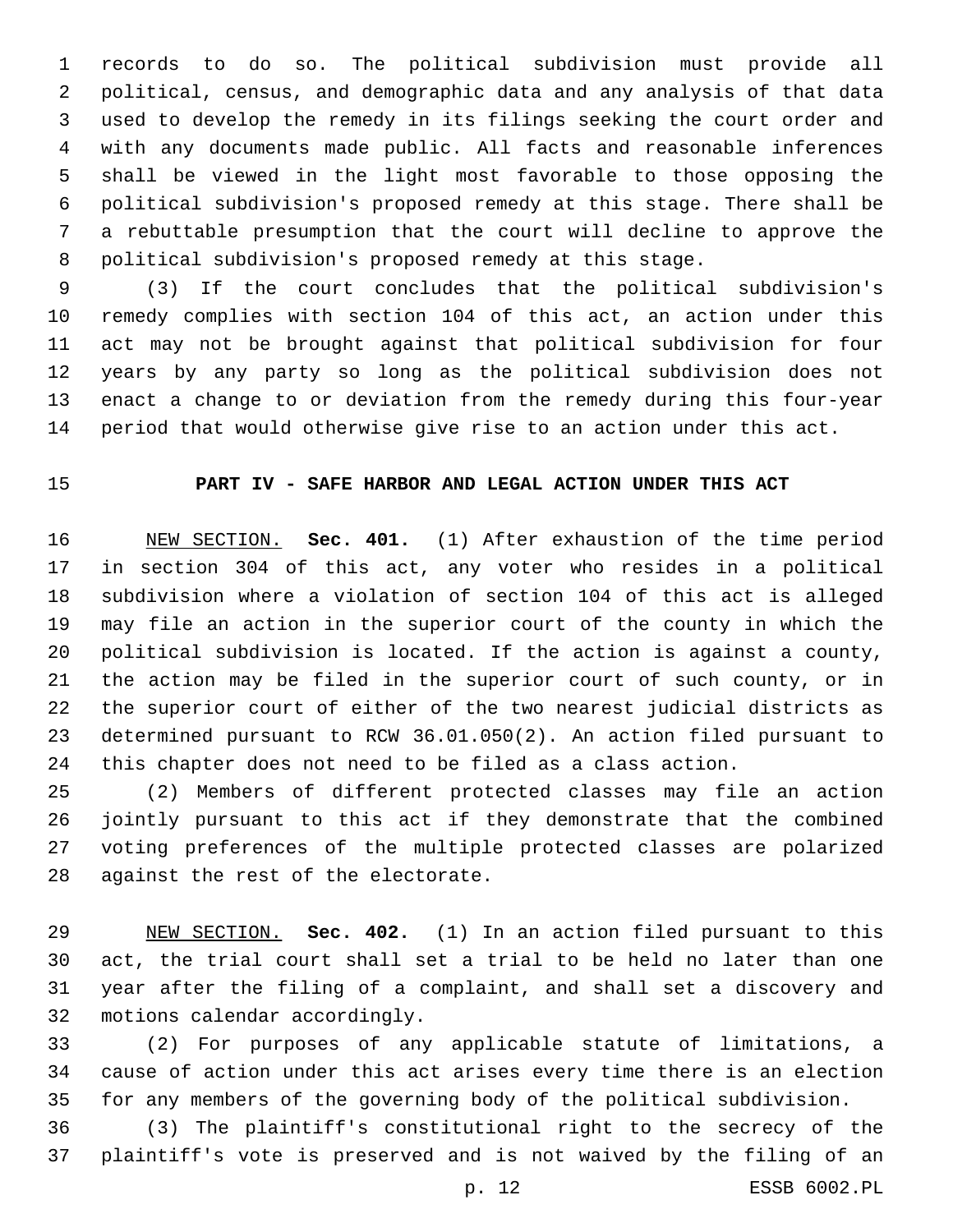records to do so. The political subdivision must provide all political, census, and demographic data and any analysis of that data used to develop the remedy in its filings seeking the court order and with any documents made public. All facts and reasonable inferences shall be viewed in the light most favorable to those opposing the political subdivision's proposed remedy at this stage. There shall be a rebuttable presumption that the court will decline to approve the political subdivision's proposed remedy at this stage.

 (3) If the court concludes that the political subdivision's remedy complies with section 104 of this act, an action under this act may not be brought against that political subdivision for four years by any party so long as the political subdivision does not enact a change to or deviation from the remedy during this four-year period that would otherwise give rise to an action under this act.

## **PART IV - SAFE HARBOR AND LEGAL ACTION UNDER THIS ACT**

 NEW SECTION. **Sec. 401.** (1) After exhaustion of the time period in section 304 of this act, any voter who resides in a political subdivision where a violation of section 104 of this act is alleged may file an action in the superior court of the county in which the political subdivision is located. If the action is against a county, the action may be filed in the superior court of such county, or in the superior court of either of the two nearest judicial districts as determined pursuant to RCW 36.01.050(2). An action filed pursuant to this chapter does not need to be filed as a class action.

 (2) Members of different protected classes may file an action jointly pursuant to this act if they demonstrate that the combined voting preferences of the multiple protected classes are polarized 28 against the rest of the electorate.

 NEW SECTION. **Sec. 402.** (1) In an action filed pursuant to this act, the trial court shall set a trial to be held no later than one year after the filing of a complaint, and shall set a discovery and motions calendar accordingly.

 (2) For purposes of any applicable statute of limitations, a cause of action under this act arises every time there is an election for any members of the governing body of the political subdivision.

 (3) The plaintiff's constitutional right to the secrecy of the plaintiff's vote is preserved and is not waived by the filing of an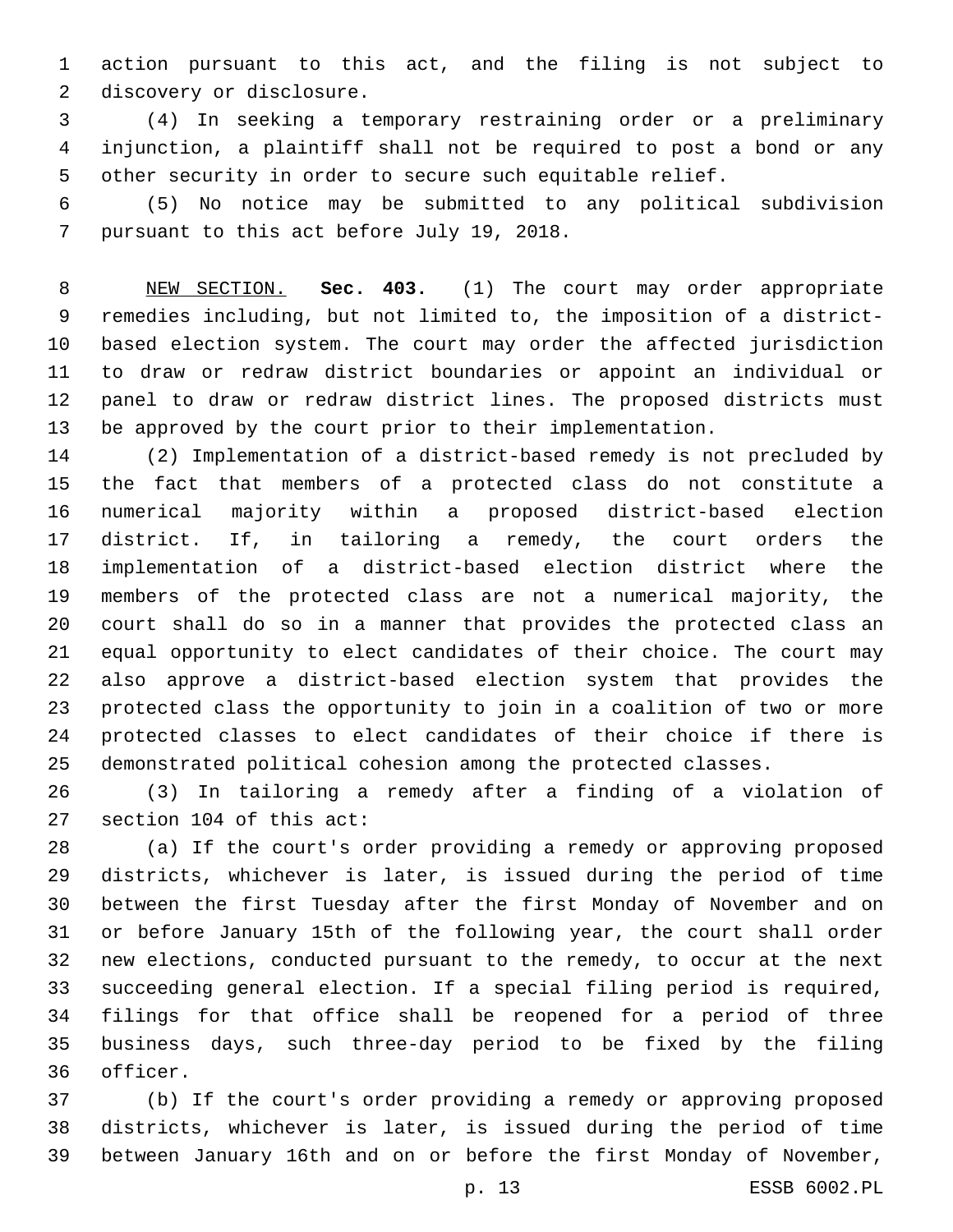action pursuant to this act, and the filing is not subject to 2 discovery or disclosure.

 (4) In seeking a temporary restraining order or a preliminary injunction, a plaintiff shall not be required to post a bond or any other security in order to secure such equitable relief.

 (5) No notice may be submitted to any political subdivision 7 pursuant to this act before July 19, 2018.

 NEW SECTION. **Sec. 403.** (1) The court may order appropriate remedies including, but not limited to, the imposition of a district- based election system. The court may order the affected jurisdiction to draw or redraw district boundaries or appoint an individual or panel to draw or redraw district lines. The proposed districts must be approved by the court prior to their implementation.

 (2) Implementation of a district-based remedy is not precluded by the fact that members of a protected class do not constitute a numerical majority within a proposed district-based election district. If, in tailoring a remedy, the court orders the implementation of a district-based election district where the members of the protected class are not a numerical majority, the court shall do so in a manner that provides the protected class an equal opportunity to elect candidates of their choice. The court may also approve a district-based election system that provides the protected class the opportunity to join in a coalition of two or more protected classes to elect candidates of their choice if there is demonstrated political cohesion among the protected classes.

 (3) In tailoring a remedy after a finding of a violation of 27 section 104 of this act:

 (a) If the court's order providing a remedy or approving proposed districts, whichever is later, is issued during the period of time between the first Tuesday after the first Monday of November and on or before January 15th of the following year, the court shall order new elections, conducted pursuant to the remedy, to occur at the next succeeding general election. If a special filing period is required, filings for that office shall be reopened for a period of three business days, such three-day period to be fixed by the filing 36 officer.

 (b) If the court's order providing a remedy or approving proposed districts, whichever is later, is issued during the period of time between January 16th and on or before the first Monday of November,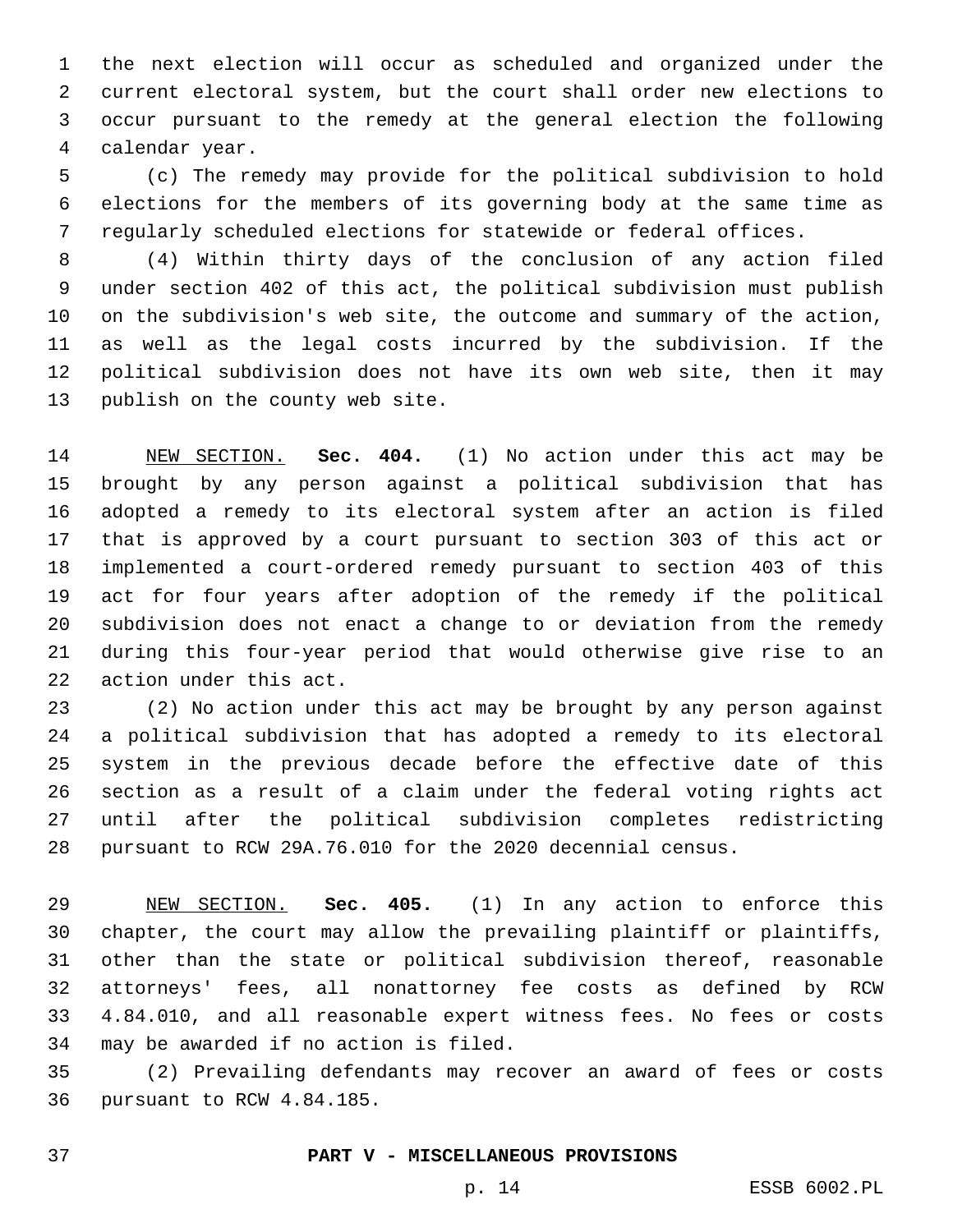the next election will occur as scheduled and organized under the current electoral system, but the court shall order new elections to occur pursuant to the remedy at the general election the following calendar year.4

 (c) The remedy may provide for the political subdivision to hold elections for the members of its governing body at the same time as regularly scheduled elections for statewide or federal offices.

 (4) Within thirty days of the conclusion of any action filed under section 402 of this act, the political subdivision must publish on the subdivision's web site, the outcome and summary of the action, as well as the legal costs incurred by the subdivision. If the political subdivision does not have its own web site, then it may 13 publish on the county web site.

 NEW SECTION. **Sec. 404.** (1) No action under this act may be brought by any person against a political subdivision that has adopted a remedy to its electoral system after an action is filed that is approved by a court pursuant to section 303 of this act or implemented a court-ordered remedy pursuant to section 403 of this act for four years after adoption of the remedy if the political subdivision does not enact a change to or deviation from the remedy during this four-year period that would otherwise give rise to an action under this act.

 (2) No action under this act may be brought by any person against a political subdivision that has adopted a remedy to its electoral system in the previous decade before the effective date of this section as a result of a claim under the federal voting rights act until after the political subdivision completes redistricting pursuant to RCW 29A.76.010 for the 2020 decennial census.

 NEW SECTION. **Sec. 405.** (1) In any action to enforce this chapter, the court may allow the prevailing plaintiff or plaintiffs, other than the state or political subdivision thereof, reasonable attorneys' fees, all nonattorney fee costs as defined by RCW 4.84.010, and all reasonable expert witness fees. No fees or costs may be awarded if no action is filed.

 (2) Prevailing defendants may recover an award of fees or costs 36 pursuant to RCW 4.84.185.

## **PART V - MISCELLANEOUS PROVISIONS**

p. 14 ESSB 6002.PL